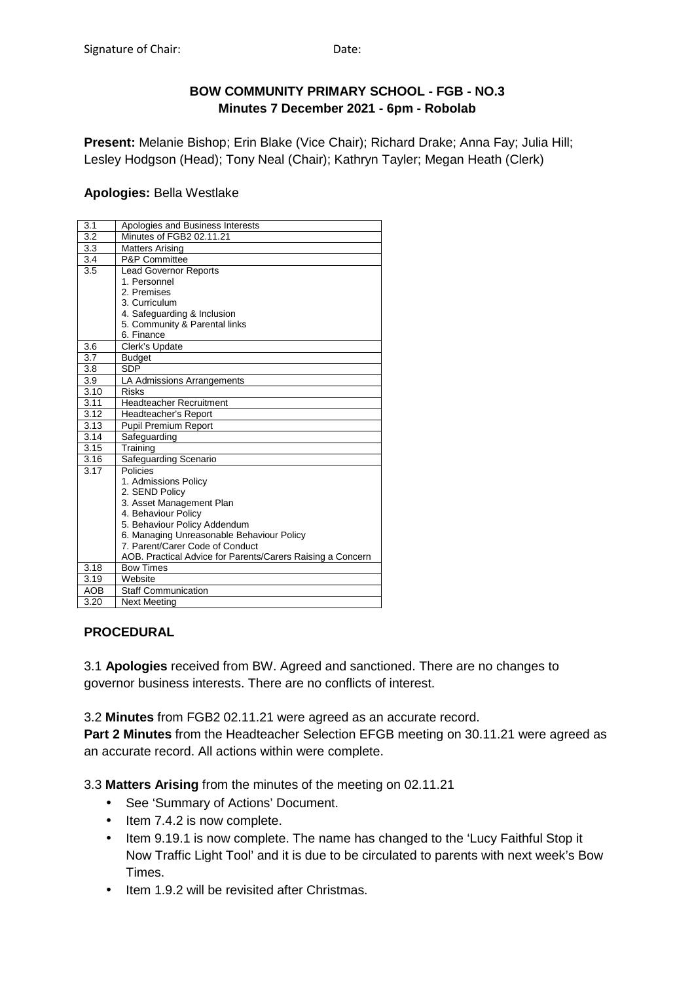# **BOW COMMUNITY PRIMARY SCHOOL - FGB - NO.3 Minutes 7 December 2021 - 6pm - Robolab**

**Present:** Melanie Bishop; Erin Blake (Vice Chair); Richard Drake; Anna Fay; Julia Hill; Lesley Hodgson (Head); Tony Neal (Chair); Kathryn Tayler; Megan Heath (Clerk)

# **Apologies:** Bella Westlake

| 3.1        | Apologies and Business Interests                           |
|------------|------------------------------------------------------------|
| 3.2        | Minutes of FGB2 02.11.21                                   |
| 3.3        | <b>Matters Arising</b>                                     |
| 3.4        | <b>P&amp;P Committee</b>                                   |
| 3.5        | <b>Lead Governor Reports</b>                               |
|            | 1. Personnel                                               |
|            | 2. Premises                                                |
|            | 3. Curriculum                                              |
|            | 4. Safeguarding & Inclusion                                |
|            | 5. Community & Parental links                              |
|            | 6. Finance                                                 |
| 3.6        | Clerk's Update                                             |
| 3.7        | <b>Budget</b>                                              |
| 3.8        | <b>SDP</b>                                                 |
| 3.9        | LA Admissions Arrangements                                 |
| 3.10       | <b>Risks</b>                                               |
| 3.11       | <b>Headteacher Recruitment</b>                             |
| 3.12       | Headteacher's Report                                       |
| 3.13       | Pupil Premium Report                                       |
| 3.14       | Safeguarding                                               |
| 3.15       | Training                                                   |
| 3.16       | Safeguarding Scenario                                      |
| 3.17       | Policies                                                   |
|            | 1. Admissions Policy                                       |
|            | 2. SEND Policy                                             |
|            | 3. Asset Management Plan                                   |
|            | 4. Behaviour Policy                                        |
|            | 5. Behaviour Policy Addendum                               |
|            | 6. Managing Unreasonable Behaviour Policy                  |
|            | 7. Parent/Carer Code of Conduct                            |
|            | AOB. Practical Advice for Parents/Carers Raising a Concern |
| 3.18       | <b>Bow Times</b>                                           |
| 3.19       | Website                                                    |
| <b>AOB</b> | <b>Staff Communication</b>                                 |
| 3.20       | Next Meeting                                               |

# **PROCEDURAL**

3.1 **Apologies** received from BW. Agreed and sanctioned. There are no changes to governor business interests. There are no conflicts of interest.

3.2 **Minutes** from FGB2 02.11.21 were agreed as an accurate record.

**Part 2 Minutes** from the Headteacher Selection EFGB meeting on 30.11.21 were agreed as an accurate record. All actions within were complete.

3.3 **Matters Arising** from the minutes of the meeting on 02.11.21

- See 'Summary of Actions' Document.
- Item 7.4.2 is now complete.
- Item 9.19.1 is now complete. The name has changed to the 'Lucy Faithful Stop it Now Traffic Light Tool' and it is due to be circulated to parents with next week's Bow Times.
- Item 1.9.2 will be revisited after Christmas.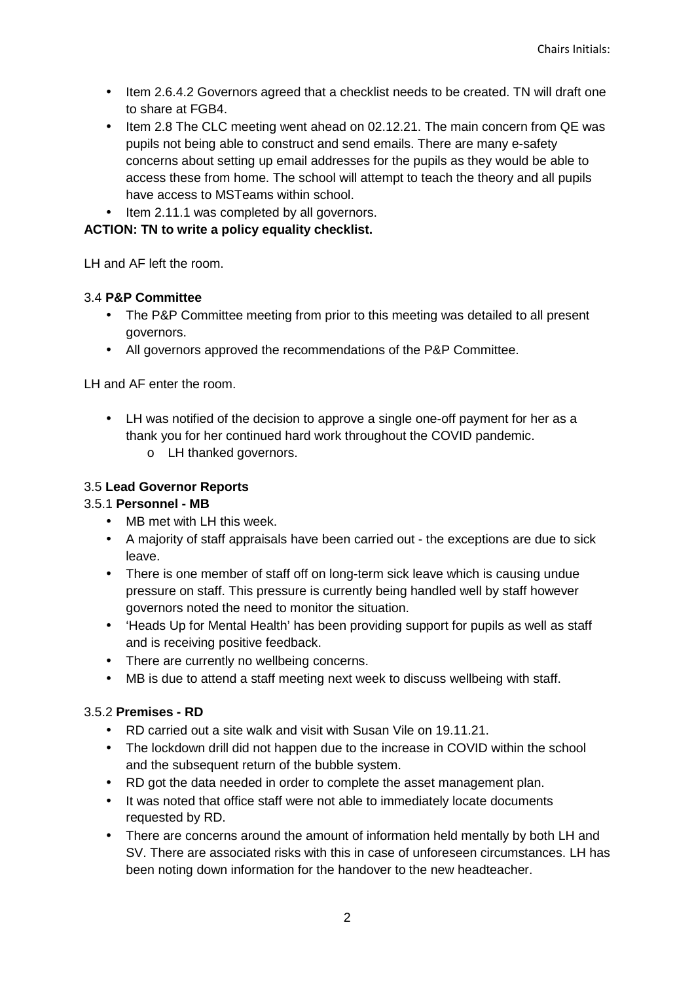- Item 2.6.4.2 Governors agreed that a checklist needs to be created. TN will draft one to share at FGB4.
- Item 2.8 The CLC meeting went ahead on 02.12.21. The main concern from QE was pupils not being able to construct and send emails. There are many e-safety concerns about setting up email addresses for the pupils as they would be able to access these from home. The school will attempt to teach the theory and all pupils have access to MSTeams within school.
- Item 2.11.1 was completed by all governors.

# **ACTION: TN to write a policy equality checklist.**

LH and AF left the room.

## 3.4 **P&P Committee**

- The P&P Committee meeting from prior to this meeting was detailed to all present governors.
- All governors approved the recommendations of the P&P Committee.

LH and AF enter the room.

- LH was notified of the decision to approve a single one-off payment for her as a thank you for her continued hard work throughout the COVID pandemic.
	- o LH thanked governors.

## 3.5 **Lead Governor Reports**

### 3.5.1 **Personnel - MB**

- MB met with LH this week.
- A majority of staff appraisals have been carried out the exceptions are due to sick leave.
- There is one member of staff off on long-term sick leave which is causing undue pressure on staff. This pressure is currently being handled well by staff however governors noted the need to monitor the situation.
- 'Heads Up for Mental Health' has been providing support for pupils as well as staff and is receiving positive feedback.
- There are currently no wellbeing concerns.
- MB is due to attend a staff meeting next week to discuss wellbeing with staff.

## 3.5.2 **Premises - RD**

- RD carried out a site walk and visit with Susan Vile on 19.11.21.
- The lockdown drill did not happen due to the increase in COVID within the school and the subsequent return of the bubble system.
- RD got the data needed in order to complete the asset management plan.
- It was noted that office staff were not able to immediately locate documents requested by RD.
- There are concerns around the amount of information held mentally by both LH and SV. There are associated risks with this in case of unforeseen circumstances. LH has been noting down information for the handover to the new headteacher.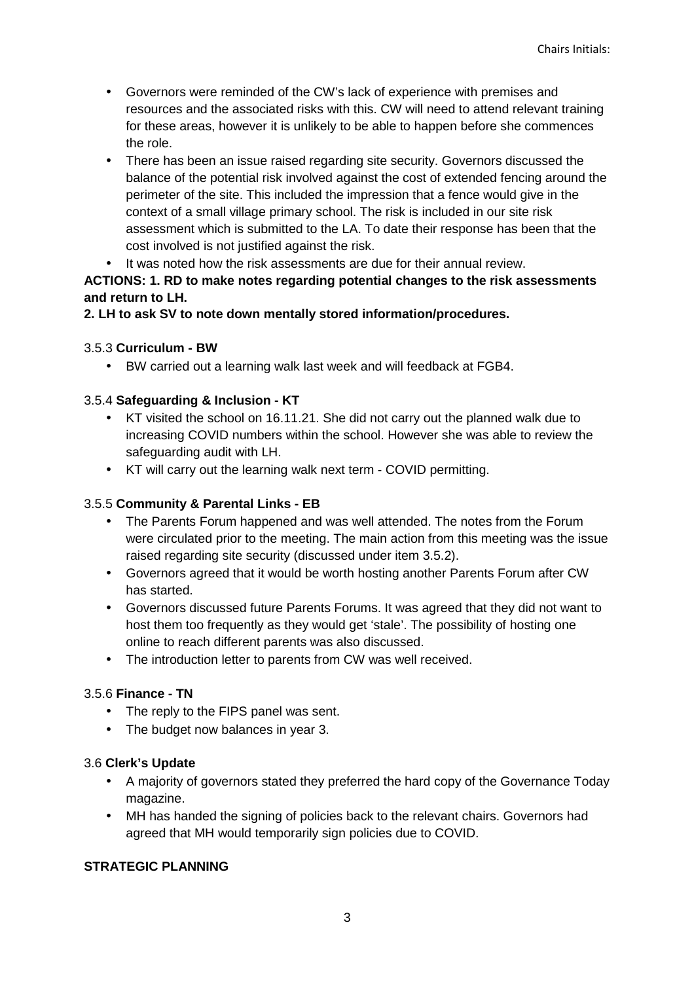- Governors were reminded of the CW's lack of experience with premises and resources and the associated risks with this. CW will need to attend relevant training for these areas, however it is unlikely to be able to happen before she commences the role.
- There has been an issue raised regarding site security. Governors discussed the balance of the potential risk involved against the cost of extended fencing around the perimeter of the site. This included the impression that a fence would give in the context of a small village primary school. The risk is included in our site risk assessment which is submitted to the LA. To date their response has been that the cost involved is not justified against the risk.
- It was noted how the risk assessments are due for their annual review.

# **ACTIONS: 1. RD to make notes regarding potential changes to the risk assessments and return to LH.**

# **2. LH to ask SV to note down mentally stored information/procedures.**

## 3.5.3 **Curriculum - BW**

• BW carried out a learning walk last week and will feedback at FGB4.

## 3.5.4 **Safeguarding & Inclusion - KT**

- KT visited the school on 16.11.21. She did not carry out the planned walk due to increasing COVID numbers within the school. However she was able to review the safeguarding audit with LH.
- KT will carry out the learning walk next term COVID permitting.

### 3.5.5 **Community & Parental Links - EB**

- The Parents Forum happened and was well attended. The notes from the Forum were circulated prior to the meeting. The main action from this meeting was the issue raised regarding site security (discussed under item 3.5.2).
- Governors agreed that it would be worth hosting another Parents Forum after CW has started.
- Governors discussed future Parents Forums. It was agreed that they did not want to host them too frequently as they would get 'stale'. The possibility of hosting one online to reach different parents was also discussed.
- The introduction letter to parents from CW was well received.

### 3.5.6 **Finance - TN**

- The reply to the FIPS panel was sent.
- The budget now balances in year 3.

### 3.6 **Clerk's Update**

- A majority of governors stated they preferred the hard copy of the Governance Today magazine.
- MH has handed the signing of policies back to the relevant chairs. Governors had agreed that MH would temporarily sign policies due to COVID.

### **STRATEGIC PLANNING**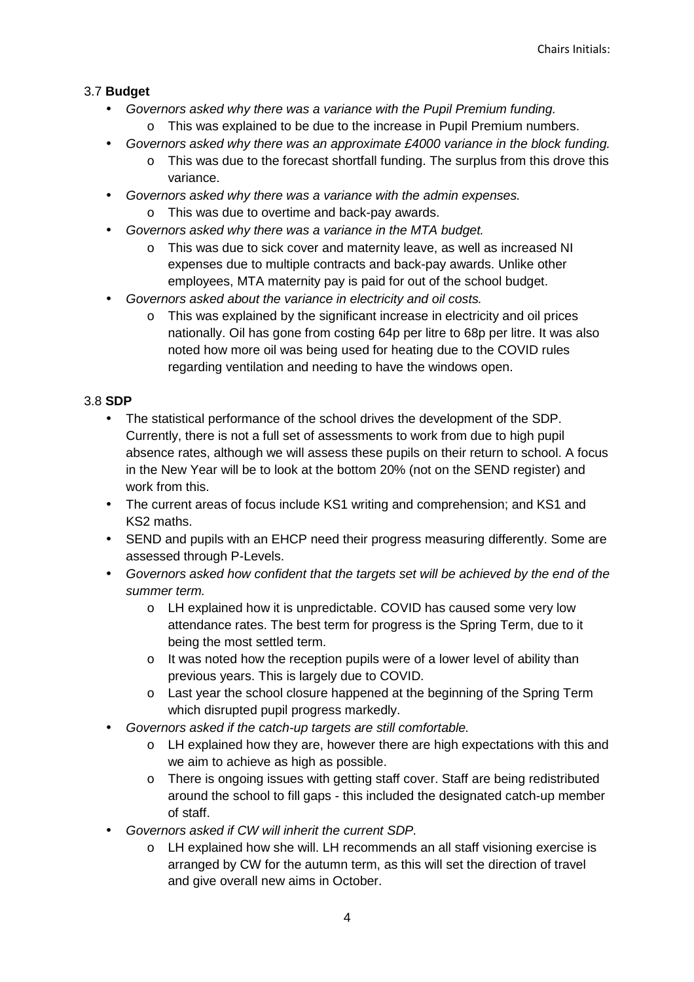# 3.7 **Budget**

- Governors asked why there was a variance with the Pupil Premium funding.
	- o This was explained to be due to the increase in Pupil Premium numbers.
- Governors asked why there was an approximate £4000 variance in the block funding.
	- $\circ$  This was due to the forecast shortfall funding. The surplus from this drove this variance.
- Governors asked why there was a variance with the admin expenses.
	- o This was due to overtime and back-pay awards.
- Governors asked why there was a variance in the MTA budget.
	- o This was due to sick cover and maternity leave, as well as increased NI expenses due to multiple contracts and back-pay awards. Unlike other employees, MTA maternity pay is paid for out of the school budget.
- Governors asked about the variance in electricity and oil costs.
	- o This was explained by the significant increase in electricity and oil prices nationally. Oil has gone from costing 64p per litre to 68p per litre. It was also noted how more oil was being used for heating due to the COVID rules regarding ventilation and needing to have the windows open.

# 3.8 **SDP**

- The statistical performance of the school drives the development of the SDP. Currently, there is not a full set of assessments to work from due to high pupil absence rates, although we will assess these pupils on their return to school. A focus in the New Year will be to look at the bottom 20% (not on the SEND register) and work from this.
- The current areas of focus include KS1 writing and comprehension; and KS1 and KS2 maths.
- SEND and pupils with an EHCP need their progress measuring differently. Some are assessed through P-Levels.
- Governors asked how confident that the targets set will be achieved by the end of the summer term.
	- o LH explained how it is unpredictable. COVID has caused some very low attendance rates. The best term for progress is the Spring Term, due to it being the most settled term.
	- o It was noted how the reception pupils were of a lower level of ability than previous years. This is largely due to COVID.
	- o Last year the school closure happened at the beginning of the Spring Term which disrupted pupil progress markedly.
- Governors asked if the catch-up targets are still comfortable.
	- o LH explained how they are, however there are high expectations with this and we aim to achieve as high as possible.
	- o There is ongoing issues with getting staff cover. Staff are being redistributed around the school to fill gaps - this included the designated catch-up member of staff.
- Governors asked if CW will inherit the current SDP.
	- o LH explained how she will. LH recommends an all staff visioning exercise is arranged by CW for the autumn term, as this will set the direction of travel and give overall new aims in October.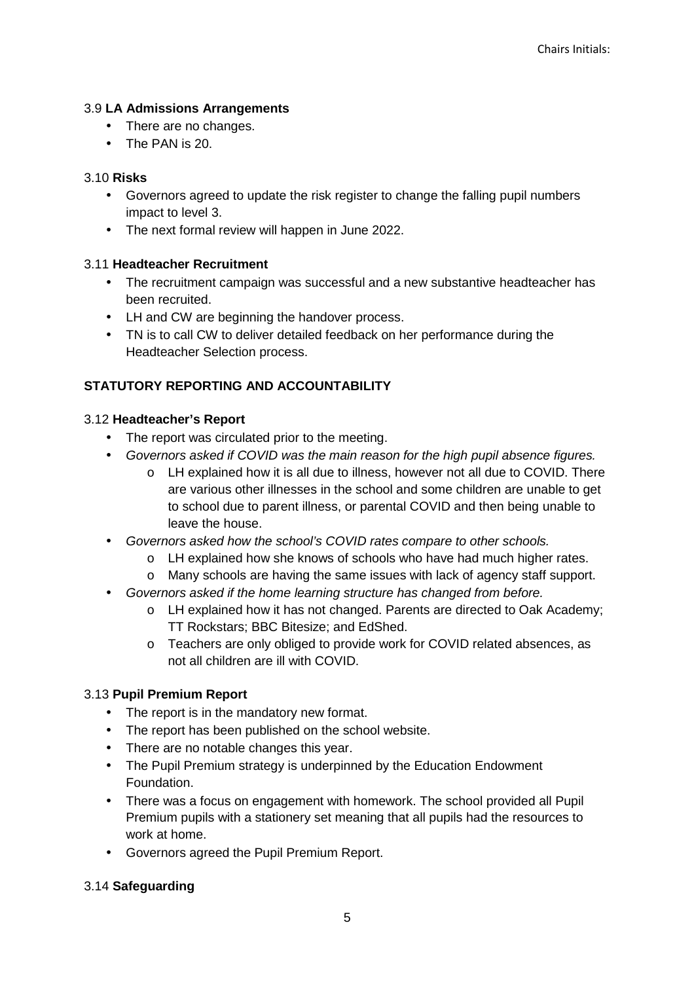## 3.9 **LA Admissions Arrangements**

- There are no changes.
- The PAN is 20.

### 3.10 **Risks**

- Governors agreed to update the risk register to change the falling pupil numbers impact to level 3.
- The next formal review will happen in June 2022.

## 3.11 **Headteacher Recruitment**

- The recruitment campaign was successful and a new substantive headteacher has been recruited.
- LH and CW are beginning the handover process.
- TN is to call CW to deliver detailed feedback on her performance during the Headteacher Selection process.

# **STATUTORY REPORTING AND ACCOUNTABILITY**

## 3.12 **Headteacher's Report**

- The report was circulated prior to the meeting.
- Governors asked if COVID was the main reason for the high pupil absence figures.
	- o LH explained how it is all due to illness, however not all due to COVID. There are various other illnesses in the school and some children are unable to get to school due to parent illness, or parental COVID and then being unable to leave the house.
- Governors asked how the school's COVID rates compare to other schools.
	- o LH explained how she knows of schools who have had much higher rates.
	- o Many schools are having the same issues with lack of agency staff support.
- Governors asked if the home learning structure has changed from before.
	- o LH explained how it has not changed. Parents are directed to Oak Academy; TT Rockstars; BBC Bitesize; and EdShed.
	- o Teachers are only obliged to provide work for COVID related absences, as not all children are ill with COVID.

### 3.13 **Pupil Premium Report**

- The report is in the mandatory new format.
- The report has been published on the school website.
- There are no notable changes this year.
- The Pupil Premium strategy is underpinned by the Education Endowment Foundation.
- There was a focus on engagement with homework. The school provided all Pupil Premium pupils with a stationery set meaning that all pupils had the resources to work at home.
- Governors agreed the Pupil Premium Report.

### 3.14 **Safeguarding**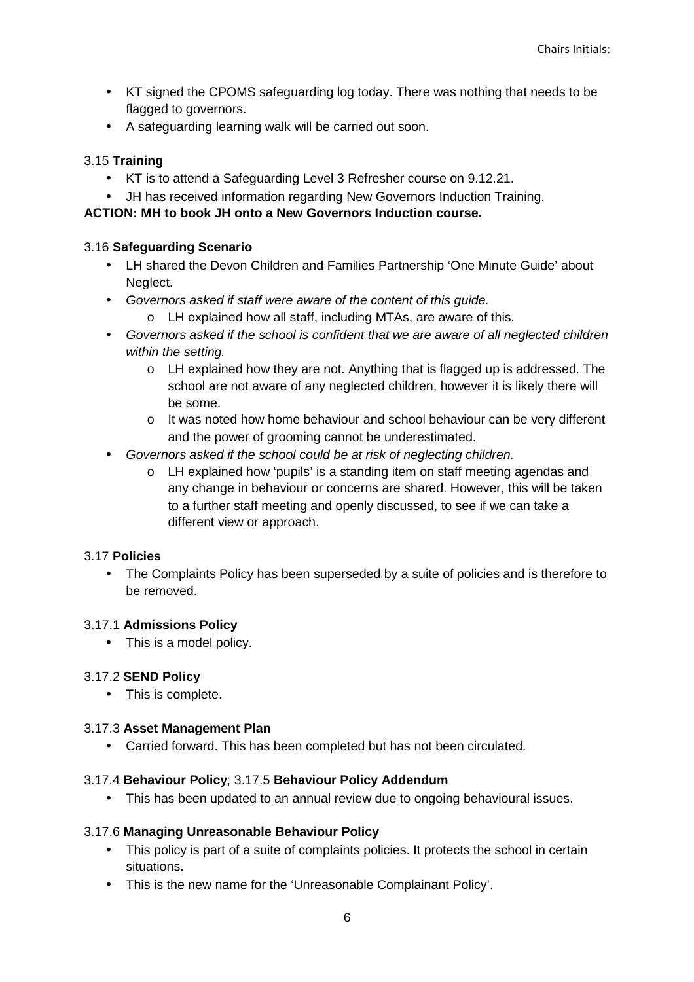- KT signed the CPOMS safeguarding log today. There was nothing that needs to be flagged to governors.
- A safeguarding learning walk will be carried out soon.

### 3.15 **Training**

- KT is to attend a Safeguarding Level 3 Refresher course on 9.12.21.
- JH has received information regarding New Governors Induction Training.

### **ACTION: MH to book JH onto a New Governors Induction course.**

### 3.16 **Safeguarding Scenario**

- LH shared the Devon Children and Families Partnership 'One Minute Guide' about Neglect.
- Governors asked if staff were aware of the content of this guide.
	- o LH explained how all staff, including MTAs, are aware of this.
- Governors asked if the school is confident that we are aware of all neglected children within the setting.
	- $\circ$  LH explained how they are not. Anything that is flagged up is addressed. The school are not aware of any neglected children, however it is likely there will be some.
	- o It was noted how home behaviour and school behaviour can be very different and the power of grooming cannot be underestimated.
- Governors asked if the school could be at risk of neglecting children.
	- o LH explained how 'pupils' is a standing item on staff meeting agendas and any change in behaviour or concerns are shared. However, this will be taken to a further staff meeting and openly discussed, to see if we can take a different view or approach.

### 3.17 **Policies**

• The Complaints Policy has been superseded by a suite of policies and is therefore to be removed.

### 3.17.1 **Admissions Policy**

• This is a model policy.

### 3.17.2 **SEND Policy**

• This is complete.

### 3.17.3 **Asset Management Plan**

• Carried forward. This has been completed but has not been circulated.

### 3.17.4 **Behaviour Policy**; 3.17.5 **Behaviour Policy Addendum**

• This has been updated to an annual review due to ongoing behavioural issues.

### 3.17.6 **Managing Unreasonable Behaviour Policy**

- This policy is part of a suite of complaints policies. It protects the school in certain situations.
- This is the new name for the 'Unreasonable Complainant Policy'.